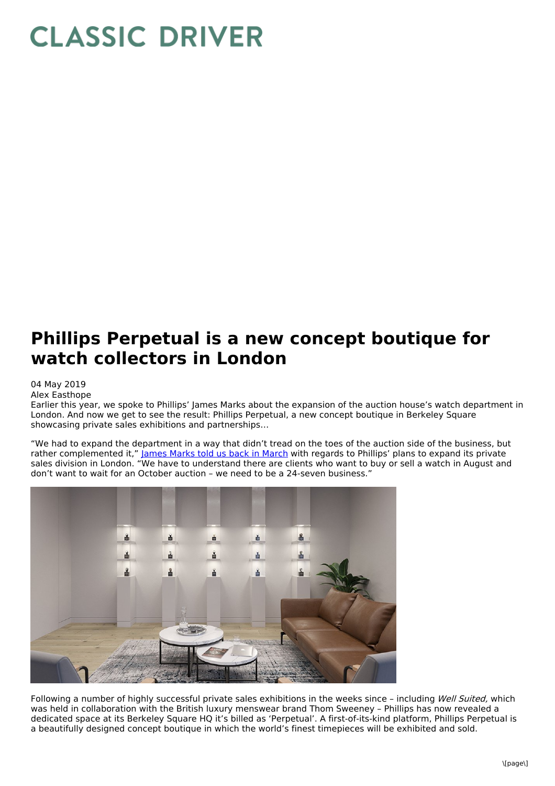## **CLASSIC DRIVER**

## **Phillips Perpetual is a new concept boutique for watch collectors in London**

04 May 2019

Alex Easthope

Earlier this year, we spoke to Phillips' James Marks about the expansion of the auction house's watch department in London. And now we get to see the result: Phillips Perpetual, a new concept boutique in Berkeley Square showcasing private sales exhibitions and partnerships…

"We had to expand the department in a way that didn't tread on the toes of the auction side of the business, but rather complemented it," James [Marks](https://www.classicdriver.com/en/article/watches/art-collecting-phillips-watch-expert-james-marks) told us back in March with regards to Phillips' plans to expand its private sales division in London. "We have to understand there are clients who want to buy or sell a watch in August and don't want to wait for an October auction – we need to be a 24-seven business."



Following a number of highly successful private sales exhibitions in the weeks since - including Well Suited, which was held in collaboration with the British luxury menswear brand Thom Sweeney – Phillips has now revealed a dedicated space at its Berkeley Square HQ it's billed as 'Perpetual'. A first-of-its-kind platform, Phillips Perpetual is a beautifully designed concept boutique in which the world's finest timepieces will be exhibited and sold.